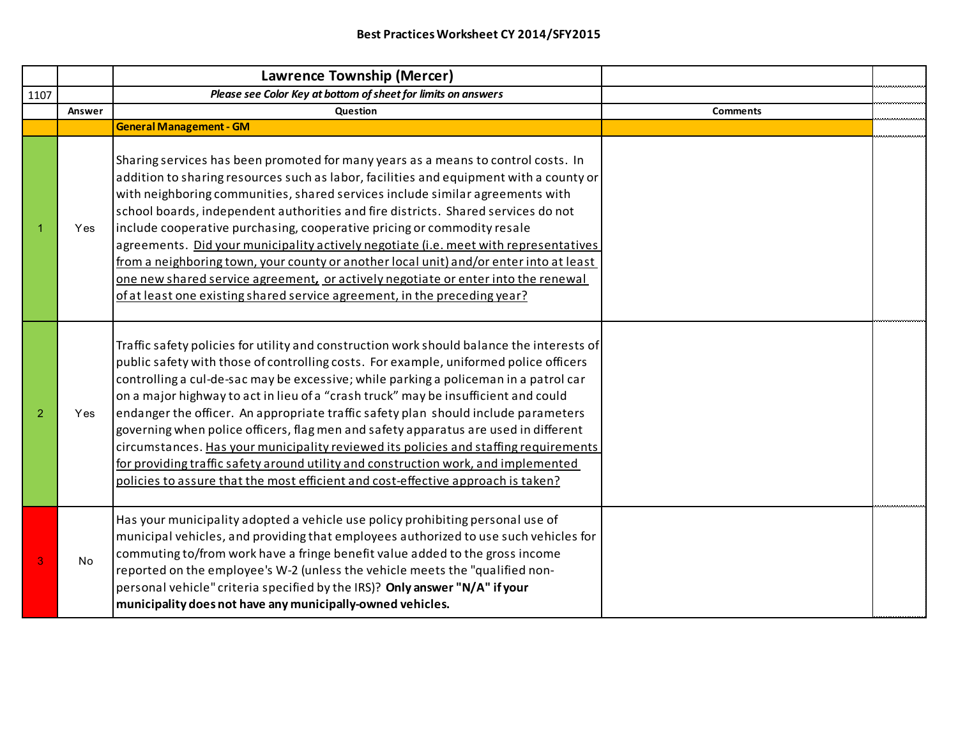|                |        | <b>Lawrence Township (Mercer)</b>                                                                                                                                                                                                                                                                                                                                                                                                                                                                                                                                                                                                                                                                                                                                                                               |                 |  |
|----------------|--------|-----------------------------------------------------------------------------------------------------------------------------------------------------------------------------------------------------------------------------------------------------------------------------------------------------------------------------------------------------------------------------------------------------------------------------------------------------------------------------------------------------------------------------------------------------------------------------------------------------------------------------------------------------------------------------------------------------------------------------------------------------------------------------------------------------------------|-----------------|--|
| 1107           |        | Please see Color Key at bottom of sheet for limits on answers                                                                                                                                                                                                                                                                                                                                                                                                                                                                                                                                                                                                                                                                                                                                                   |                 |  |
|                | Answer | Question                                                                                                                                                                                                                                                                                                                                                                                                                                                                                                                                                                                                                                                                                                                                                                                                        | <b>Comments</b> |  |
|                |        | <b>General Management - GM</b>                                                                                                                                                                                                                                                                                                                                                                                                                                                                                                                                                                                                                                                                                                                                                                                  |                 |  |
|                | Yes    | Sharing services has been promoted for many years as a means to control costs. In<br>addition to sharing resources such as labor, facilities and equipment with a county or<br>with neighboring communities, shared services include similar agreements with<br>school boards, independent authorities and fire districts. Shared services do not<br>include cooperative purchasing, cooperative pricing or commodity resale<br>agreements. Did your municipality actively negotiate (i.e. meet with representatives<br>from a neighboring town, your county or another local unit) and/or enter into at least<br>one new shared service agreement, or actively negotiate or enter into the renewal<br>of at least one existing shared service agreement, in the preceding year?                                |                 |  |
| $\overline{2}$ | Yes    | Traffic safety policies for utility and construction work should balance the interests of<br>public safety with those of controlling costs. For example, uniformed police officers<br>controlling a cul-de-sac may be excessive; while parking a policeman in a patrol car<br>on a major highway to act in lieu of a "crash truck" may be insufficient and could<br>endanger the officer. An appropriate traffic safety plan should include parameters<br>governing when police officers, flag men and safety apparatus are used in different<br>circumstances. Has your municipality reviewed its policies and staffing requirements<br>for providing traffic safety around utility and construction work, and implemented<br>policies to assure that the most efficient and cost-effective approach is taken? |                 |  |
| 3              | No     | Has your municipality adopted a vehicle use policy prohibiting personal use of<br>municipal vehicles, and providing that employees authorized to use such vehicles for<br>commuting to/from work have a fringe benefit value added to the gross income<br>reported on the employee's W-2 (unless the vehicle meets the "qualified non-<br>personal vehicle" criteria specified by the IRS)? Only answer "N/A" if your<br>municipality does not have any municipally-owned vehicles.                                                                                                                                                                                                                                                                                                                             |                 |  |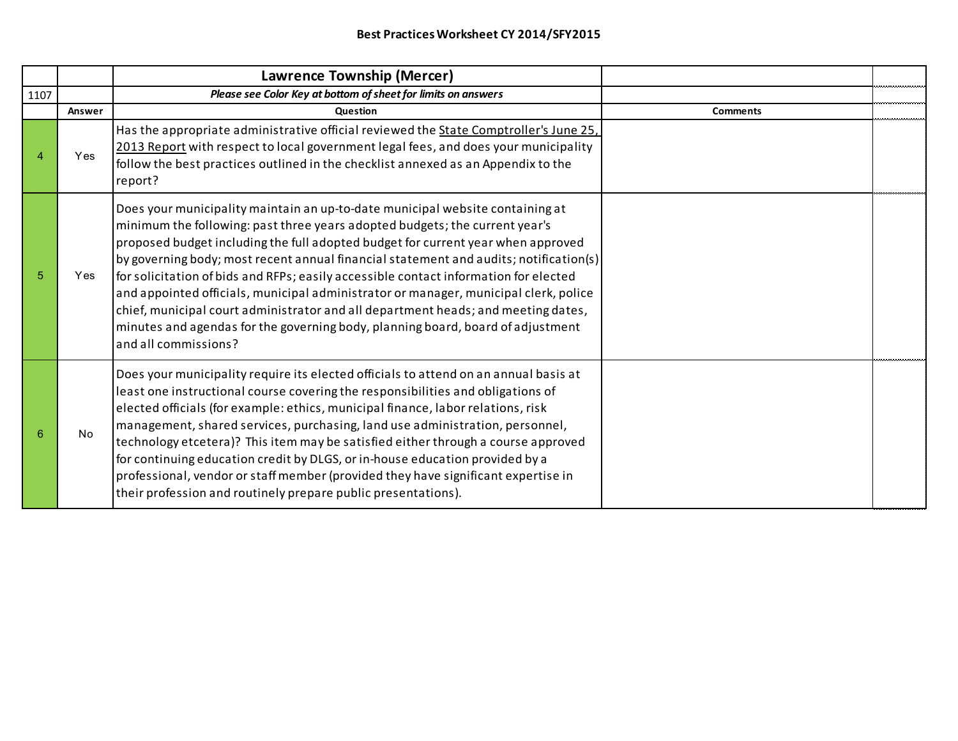|      |            | Lawrence Township (Mercer)                                                                                                                                                                                                                                                                                                                                                                                                                                                                                                                                                                                                                                                                                                |                 |  |
|------|------------|---------------------------------------------------------------------------------------------------------------------------------------------------------------------------------------------------------------------------------------------------------------------------------------------------------------------------------------------------------------------------------------------------------------------------------------------------------------------------------------------------------------------------------------------------------------------------------------------------------------------------------------------------------------------------------------------------------------------------|-----------------|--|
| 1107 |            | Please see Color Key at bottom of sheet for limits on answers                                                                                                                                                                                                                                                                                                                                                                                                                                                                                                                                                                                                                                                             |                 |  |
|      | Answer     | <b>Question</b>                                                                                                                                                                                                                                                                                                                                                                                                                                                                                                                                                                                                                                                                                                           | <b>Comments</b> |  |
|      | <b>Yes</b> | Has the appropriate administrative official reviewed the State Comptroller's June 25,<br>2013 Report with respect to local government legal fees, and does your municipality<br>follow the best practices outlined in the checklist annexed as an Appendix to the<br>report?                                                                                                                                                                                                                                                                                                                                                                                                                                              |                 |  |
| 5    | Yes        | Does your municipality maintain an up-to-date municipal website containing at<br>minimum the following: past three years adopted budgets; the current year's<br>proposed budget including the full adopted budget for current year when approved<br>by governing body; most recent annual financial statement and audits; notification(s)<br>for solicitation of bids and RFPs; easily accessible contact information for elected<br>and appointed officials, municipal administrator or manager, municipal clerk, police<br>chief, municipal court administrator and all department heads; and meeting dates,<br>minutes and agendas for the governing body, planning board, board of adjustment<br>and all commissions? |                 |  |
| 6    | No         | Does your municipality require its elected officials to attend on an annual basis at<br>least one instructional course covering the responsibilities and obligations of<br>elected officials (for example: ethics, municipal finance, labor relations, risk<br>management, shared services, purchasing, land use administration, personnel,<br>technology etcetera)? This item may be satisfied either through a course approved<br>for continuing education credit by DLGS, or in-house education provided by a<br>professional, vendor or staff member (provided they have significant expertise in<br>their profession and routinely prepare public presentations).                                                    |                 |  |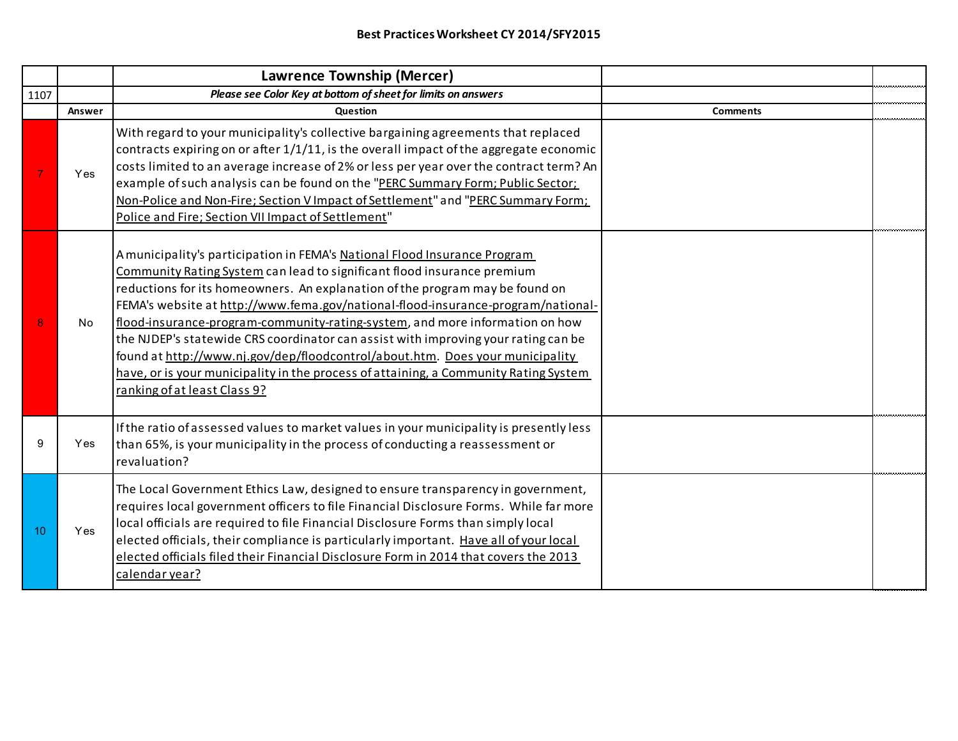|      |        | Lawrence Township (Mercer)                                                                                                                                                                                                                                                                                                                                                                                                                                                                                                                                                                                                                                                                              |                 |  |
|------|--------|---------------------------------------------------------------------------------------------------------------------------------------------------------------------------------------------------------------------------------------------------------------------------------------------------------------------------------------------------------------------------------------------------------------------------------------------------------------------------------------------------------------------------------------------------------------------------------------------------------------------------------------------------------------------------------------------------------|-----------------|--|
| 1107 |        | Please see Color Key at bottom of sheet for limits on answers                                                                                                                                                                                                                                                                                                                                                                                                                                                                                                                                                                                                                                           |                 |  |
|      | Answer | Question                                                                                                                                                                                                                                                                                                                                                                                                                                                                                                                                                                                                                                                                                                | <b>Comments</b> |  |
|      | Yes    | With regard to your municipality's collective bargaining agreements that replaced<br>contracts expiring on or after $1/1/11$ , is the overall impact of the aggregate economic<br>costs limited to an average increase of 2% or less per year over the contract term? An<br>example of such analysis can be found on the "PERC Summary Form; Public Sector;<br>Non-Police and Non-Fire; Section V Impact of Settlement" and "PERC Summary Form;<br>Police and Fire; Section VII Impact of Settlement"                                                                                                                                                                                                   |                 |  |
|      | No     | A municipality's participation in FEMA's National Flood Insurance Program<br>Community Rating System can lead to significant flood insurance premium<br>reductions for its homeowners. An explanation of the program may be found on<br>FEMA's website at http://www.fema.gov/national-flood-insurance-program/national-<br>flood-insurance-program-community-rating-system, and more information on how<br>the NJDEP's statewide CRS coordinator can assist with improving your rating can be<br>found at http://www.nj.gov/dep/floodcontrol/about.htm. Does your municipality<br>have, or is your municipality in the process of attaining, a Community Rating System<br>ranking of at least Class 9? |                 |  |
| 9    | Yes    | If the ratio of assessed values to market values in your municipality is presently less<br>than 65%, is your municipality in the process of conducting a reassessment or<br>revaluation?                                                                                                                                                                                                                                                                                                                                                                                                                                                                                                                |                 |  |
| 10   | Yes    | The Local Government Ethics Law, designed to ensure transparency in government,<br>requires local government officers to file Financial Disclosure Forms. While far more<br>local officials are required to file Financial Disclosure Forms than simply local<br>elected officials, their compliance is particularly important. Have all of your local<br>elected officials filed their Financial Disclosure Form in 2014 that covers the 2013<br>calendar year?                                                                                                                                                                                                                                        |                 |  |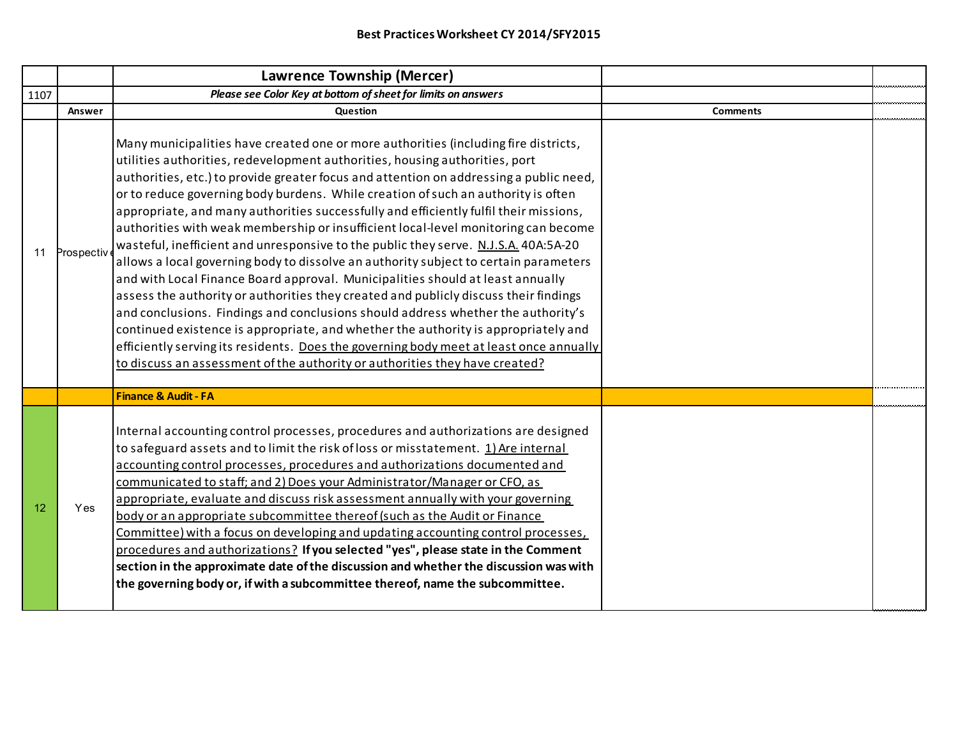|      |            | Lawrence Township (Mercer)                                                                                                                                                                                                                                                                                                                                                                                                                                                                                                                                                                                                                                                                                                                                                                                                                                                                                                                                                                                                                                                                                                                                                                                                                   |                 |  |
|------|------------|----------------------------------------------------------------------------------------------------------------------------------------------------------------------------------------------------------------------------------------------------------------------------------------------------------------------------------------------------------------------------------------------------------------------------------------------------------------------------------------------------------------------------------------------------------------------------------------------------------------------------------------------------------------------------------------------------------------------------------------------------------------------------------------------------------------------------------------------------------------------------------------------------------------------------------------------------------------------------------------------------------------------------------------------------------------------------------------------------------------------------------------------------------------------------------------------------------------------------------------------|-----------------|--|
| 1107 |            | Please see Color Key at bottom of sheet for limits on answers                                                                                                                                                                                                                                                                                                                                                                                                                                                                                                                                                                                                                                                                                                                                                                                                                                                                                                                                                                                                                                                                                                                                                                                |                 |  |
|      | Answer     | Question                                                                                                                                                                                                                                                                                                                                                                                                                                                                                                                                                                                                                                                                                                                                                                                                                                                                                                                                                                                                                                                                                                                                                                                                                                     | <b>Comments</b> |  |
| 11   | Prospectiv | Many municipalities have created one or more authorities (including fire districts,<br>utilities authorities, redevelopment authorities, housing authorities, port<br>authorities, etc.) to provide greater focus and attention on addressing a public need,<br>or to reduce governing body burdens. While creation of such an authority is often<br>appropriate, and many authorities successfully and efficiently fulfil their missions,<br>authorities with weak membership or insufficient local-level monitoring can become<br>wasteful, inefficient and unresponsive to the public they serve. N.J.S.A. 40A:5A-20<br>allows a local governing body to dissolve an authority subject to certain parameters<br>and with Local Finance Board approval. Municipalities should at least annually<br>assess the authority or authorities they created and publicly discuss their findings<br>and conclusions. Findings and conclusions should address whether the authority's<br>continued existence is appropriate, and whether the authority is appropriately and<br>efficiently serving its residents. Does the governing body meet at least once annually<br>to discuss an assessment of the authority or authorities they have created? |                 |  |
|      |            | <b>Finance &amp; Audit - FA</b>                                                                                                                                                                                                                                                                                                                                                                                                                                                                                                                                                                                                                                                                                                                                                                                                                                                                                                                                                                                                                                                                                                                                                                                                              |                 |  |
| 12   | Yes        | Internal accounting control processes, procedures and authorizations are designed<br>to safeguard assets and to limit the risk of loss or misstatement. 1) Are internal<br>accounting control processes, procedures and authorizations documented and<br>communicated to staff; and 2) Does your Administrator/Manager or CFO, as<br>appropriate, evaluate and discuss risk assessment annually with your governing<br>body or an appropriate subcommittee thereof (such as the Audit or Finance<br>Committee) with a focus on developing and updating accounting control processes,<br>procedures and authorizations? If you selected "yes", please state in the Comment<br>section in the approximate date of the discussion and whether the discussion was with<br>the governing body or, if with a subcommittee thereof, name the subcommittee.                                                                                                                                                                                                                                                                                                                                                                                          |                 |  |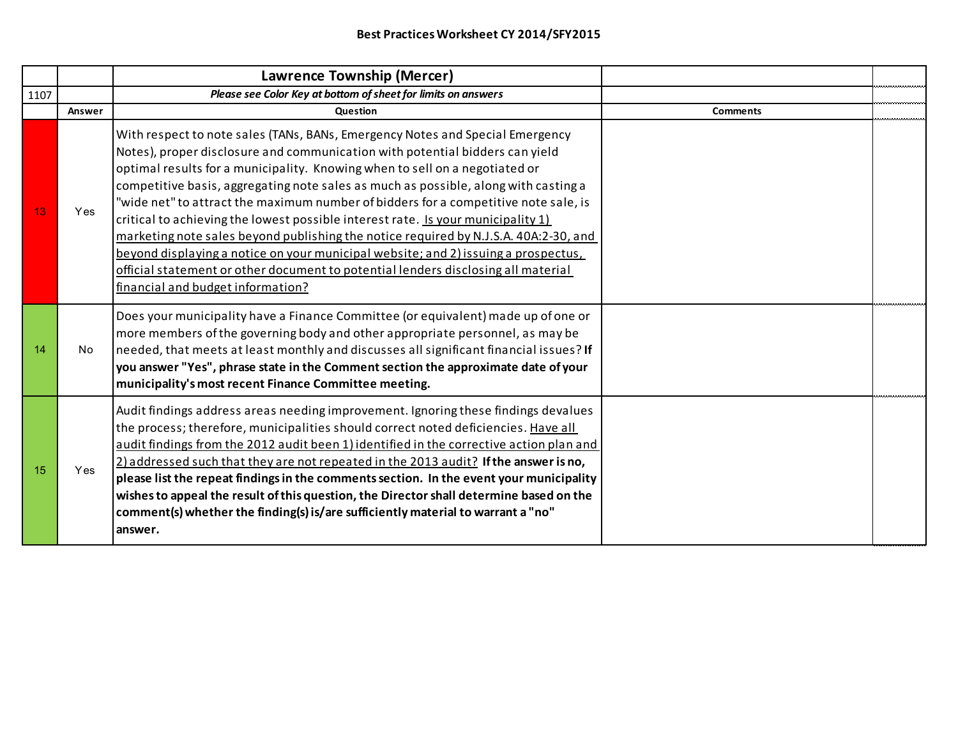|      |        | Lawrence Township (Mercer)                                                                                                                                                                                                                                                                                                                                                                                                                                                                                                                                                                                                                                                                                                                                                                                             |                 |  |
|------|--------|------------------------------------------------------------------------------------------------------------------------------------------------------------------------------------------------------------------------------------------------------------------------------------------------------------------------------------------------------------------------------------------------------------------------------------------------------------------------------------------------------------------------------------------------------------------------------------------------------------------------------------------------------------------------------------------------------------------------------------------------------------------------------------------------------------------------|-----------------|--|
| 1107 |        | Please see Color Key at bottom of sheet for limits on answers                                                                                                                                                                                                                                                                                                                                                                                                                                                                                                                                                                                                                                                                                                                                                          |                 |  |
|      | Answer | Question                                                                                                                                                                                                                                                                                                                                                                                                                                                                                                                                                                                                                                                                                                                                                                                                               | <b>Comments</b> |  |
| 13   | Yes    | With respect to note sales (TANs, BANs, Emergency Notes and Special Emergency<br>Notes), proper disclosure and communication with potential bidders can yield<br>optimal results for a municipality. Knowing when to sell on a negotiated or<br>competitive basis, aggregating note sales as much as possible, along with casting a<br>"wide net" to attract the maximum number of bidders for a competitive note sale, is<br>critical to achieving the lowest possible interest rate. Is your municipality 1)<br>marketing note sales beyond publishing the notice required by N.J.S.A. 40A:2-30, and<br>beyond displaying a notice on your municipal website; and 2) issuing a prospectus,<br>official statement or other document to potential lenders disclosing all material<br>financial and budget information? |                 |  |
| 14   | No     | Does your municipality have a Finance Committee (or equivalent) made up of one or<br>more members of the governing body and other appropriate personnel, as may be<br>needed, that meets at least monthly and discusses all significant financial issues? If<br>you answer "Yes", phrase state in the Comment section the approximate date of your<br>municipality's most recent Finance Committee meeting.                                                                                                                                                                                                                                                                                                                                                                                                            |                 |  |
| 15   | Yes    | Audit findings address areas needing improvement. Ignoring these findings devalues<br>the process; therefore, municipalities should correct noted deficiencies. Have all<br>audit findings from the 2012 audit been 1) identified in the corrective action plan and<br>2) addressed such that they are not repeated in the 2013 audit? If the answer is no,<br>please list the repeat findings in the comments section. In the event your municipality<br>wishes to appeal the result of this question, the Director shall determine based on the<br>comment(s) whether the finding(s) is/are sufficiently material to warrant a "no"<br>answer.                                                                                                                                                                       |                 |  |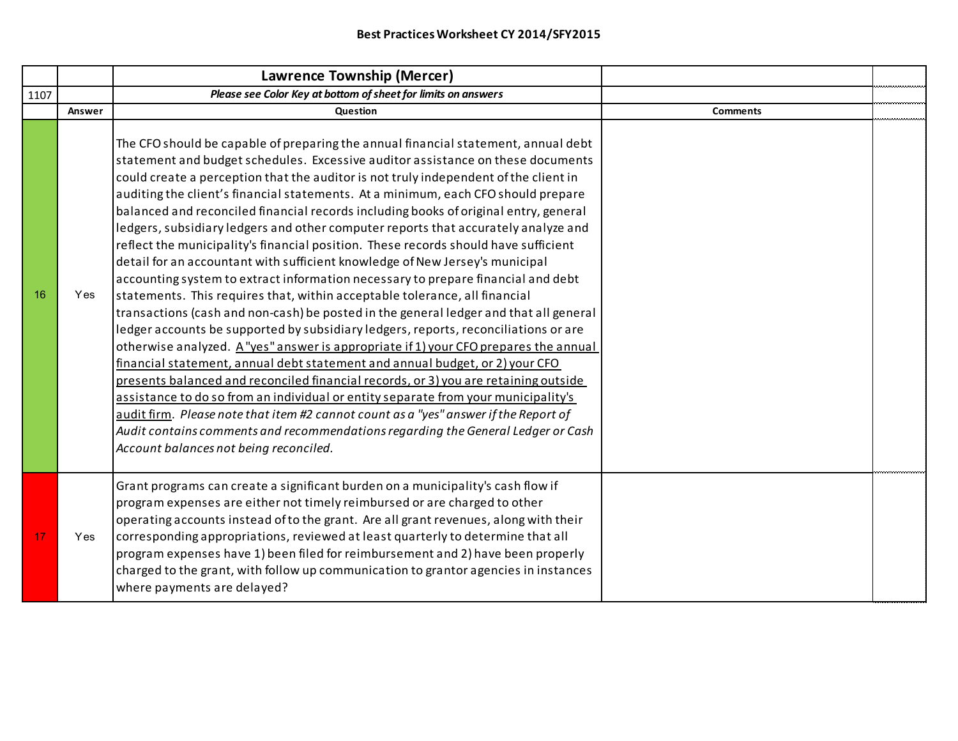|      |        | <b>Lawrence Township (Mercer)</b>                                                                                                                                                                                                                                                                                                                                                                                                                                                                                                                                                                                                                                                                                                                                                                                                                                                                                                                                                                                                                                                                                                                                                                                                                                                                                                                                                                                                                                                                                                                                                                                                    |                 |  |
|------|--------|--------------------------------------------------------------------------------------------------------------------------------------------------------------------------------------------------------------------------------------------------------------------------------------------------------------------------------------------------------------------------------------------------------------------------------------------------------------------------------------------------------------------------------------------------------------------------------------------------------------------------------------------------------------------------------------------------------------------------------------------------------------------------------------------------------------------------------------------------------------------------------------------------------------------------------------------------------------------------------------------------------------------------------------------------------------------------------------------------------------------------------------------------------------------------------------------------------------------------------------------------------------------------------------------------------------------------------------------------------------------------------------------------------------------------------------------------------------------------------------------------------------------------------------------------------------------------------------------------------------------------------------|-----------------|--|
| 1107 |        | Please see Color Key at bottom of sheet for limits on answers                                                                                                                                                                                                                                                                                                                                                                                                                                                                                                                                                                                                                                                                                                                                                                                                                                                                                                                                                                                                                                                                                                                                                                                                                                                                                                                                                                                                                                                                                                                                                                        |                 |  |
|      | Answer | Question                                                                                                                                                                                                                                                                                                                                                                                                                                                                                                                                                                                                                                                                                                                                                                                                                                                                                                                                                                                                                                                                                                                                                                                                                                                                                                                                                                                                                                                                                                                                                                                                                             | <b>Comments</b> |  |
| 16   | Yes    | The CFO should be capable of preparing the annual financial statement, annual debt<br>statement and budget schedules. Excessive auditor assistance on these documents<br>could create a perception that the auditor is not truly independent of the client in<br>auditing the client's financial statements. At a minimum, each CFO should prepare<br>balanced and reconciled financial records including books of original entry, general<br>ledgers, subsidiary ledgers and other computer reports that accurately analyze and<br>reflect the municipality's financial position. These records should have sufficient<br>detail for an accountant with sufficient knowledge of New Jersey's municipal<br>accounting system to extract information necessary to prepare financial and debt<br>statements. This requires that, within acceptable tolerance, all financial<br>transactions (cash and non-cash) be posted in the general ledger and that all general<br>ledger accounts be supported by subsidiary ledgers, reports, reconciliations or are<br>otherwise analyzed. A "yes" answer is appropriate if 1) your CFO prepares the annual<br>financial statement, annual debt statement and annual budget, or 2) your CFO<br>presents balanced and reconciled financial records, or 3) you are retaining outside<br>assistance to do so from an individual or entity separate from your municipality's<br>audit firm. Please note that item #2 cannot count as a "yes" answer if the Report of<br>Audit contains comments and recommendations regarding the General Ledger or Cash<br>Account balances not being reconciled. |                 |  |
| 17   | Yes    | Grant programs can create a significant burden on a municipality's cash flow if<br>program expenses are either not timely reimbursed or are charged to other<br>operating accounts instead of to the grant. Are all grant revenues, along with their<br>corresponding appropriations, reviewed at least quarterly to determine that all<br>program expenses have 1) been filed for reimbursement and 2) have been properly<br>charged to the grant, with follow up communication to grantor agencies in instances                                                                                                                                                                                                                                                                                                                                                                                                                                                                                                                                                                                                                                                                                                                                                                                                                                                                                                                                                                                                                                                                                                                    |                 |  |
|      |        | where payments are delayed?                                                                                                                                                                                                                                                                                                                                                                                                                                                                                                                                                                                                                                                                                                                                                                                                                                                                                                                                                                                                                                                                                                                                                                                                                                                                                                                                                                                                                                                                                                                                                                                                          |                 |  |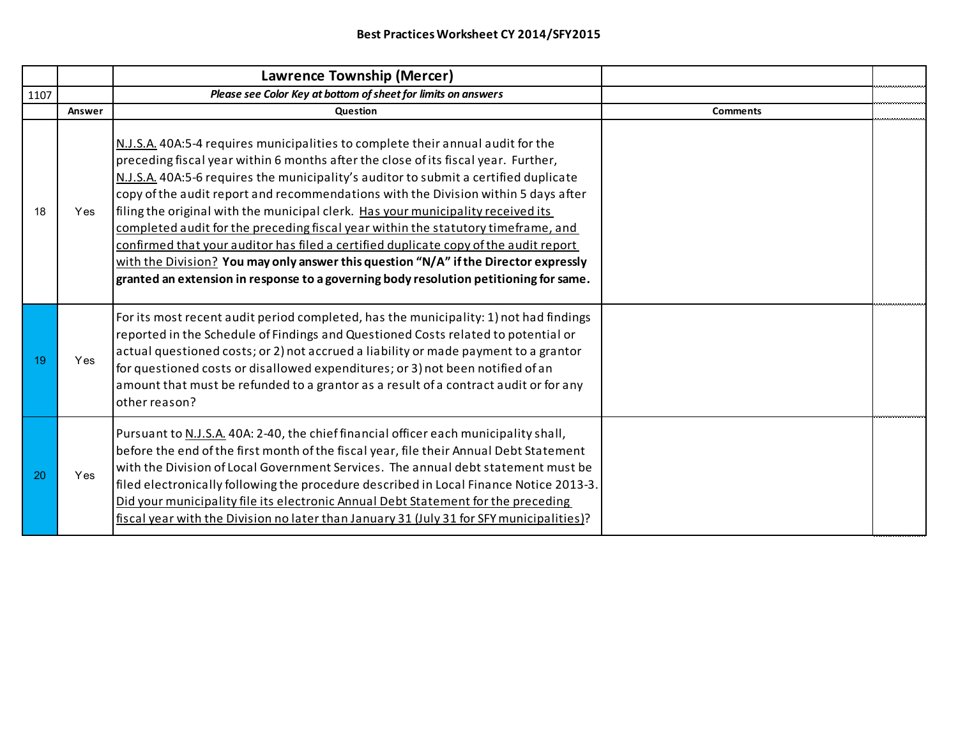|      |        | Lawrence Township (Mercer)                                                                                                                                                                                                                                                                                                                                                                                                                                                                                                                                                                                                                                                                                                                                                                            |                 |  |
|------|--------|-------------------------------------------------------------------------------------------------------------------------------------------------------------------------------------------------------------------------------------------------------------------------------------------------------------------------------------------------------------------------------------------------------------------------------------------------------------------------------------------------------------------------------------------------------------------------------------------------------------------------------------------------------------------------------------------------------------------------------------------------------------------------------------------------------|-----------------|--|
| 1107 |        | Please see Color Key at bottom of sheet for limits on answers                                                                                                                                                                                                                                                                                                                                                                                                                                                                                                                                                                                                                                                                                                                                         |                 |  |
|      | Answer | <b>Question</b>                                                                                                                                                                                                                                                                                                                                                                                                                                                                                                                                                                                                                                                                                                                                                                                       | <b>Comments</b> |  |
| 18   | Yes    | N.J.S.A. 40A:5-4 requires municipalities to complete their annual audit for the<br>preceding fiscal year within 6 months after the close of its fiscal year. Further,<br>N.J.S.A. 40A:5-6 requires the municipality's auditor to submit a certified duplicate<br>copy of the audit report and recommendations with the Division within 5 days after<br>filing the original with the municipal clerk. Has your municipality received its<br>completed audit for the preceding fiscal year within the statutory timeframe, and<br>confirmed that your auditor has filed a certified duplicate copy of the audit report<br>with the Division? You may only answer this question "N/A" if the Director expressly<br>granted an extension in response to a governing body resolution petitioning for same. |                 |  |
| 19   | Yes    | For its most recent audit period completed, has the municipality: 1) not had findings<br>reported in the Schedule of Findings and Questioned Costs related to potential or<br>actual questioned costs; or 2) not accrued a liability or made payment to a grantor<br>for questioned costs or disallowed expenditures; or 3) not been notified of an<br>amount that must be refunded to a grantor as a result of a contract audit or for any<br>other reason?                                                                                                                                                                                                                                                                                                                                          |                 |  |
| 20   | Yes    | Pursuant to N.J.S.A. 40A: 2-40, the chief financial officer each municipality shall,<br>before the end of the first month of the fiscal year, file their Annual Debt Statement<br>with the Division of Local Government Services. The annual debt statement must be<br>filed electronically following the procedure described in Local Finance Notice 2013-3.<br>Did your municipality file its electronic Annual Debt Statement for the preceding<br>fiscal year with the Division no later than January 31 (July 31 for SFY municipalities)?                                                                                                                                                                                                                                                        |                 |  |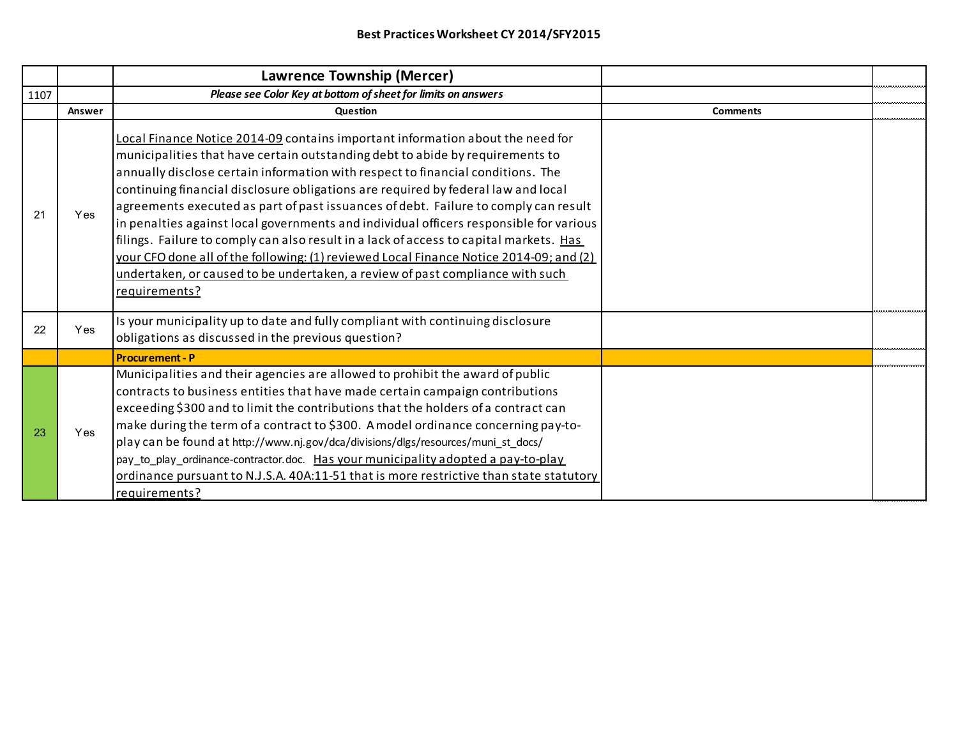|      |        | Lawrence Township (Mercer)                                                                                                                                                                                                                                                                                                                                                                                                                                                                                                                                                                                                                                                                                                                                                                                     |                 |  |
|------|--------|----------------------------------------------------------------------------------------------------------------------------------------------------------------------------------------------------------------------------------------------------------------------------------------------------------------------------------------------------------------------------------------------------------------------------------------------------------------------------------------------------------------------------------------------------------------------------------------------------------------------------------------------------------------------------------------------------------------------------------------------------------------------------------------------------------------|-----------------|--|
| 1107 |        | Please see Color Key at bottom of sheet for limits on answers                                                                                                                                                                                                                                                                                                                                                                                                                                                                                                                                                                                                                                                                                                                                                  |                 |  |
|      | Answer | Question                                                                                                                                                                                                                                                                                                                                                                                                                                                                                                                                                                                                                                                                                                                                                                                                       | <b>Comments</b> |  |
| 21   | Yes    | Local Finance Notice 2014-09 contains important information about the need for<br>municipalities that have certain outstanding debt to abide by requirements to<br>annually disclose certain information with respect to financial conditions. The<br>continuing financial disclosure obligations are required by federal law and local<br>agreements executed as part of past issuances of debt. Failure to comply can result<br>in penalties against local governments and individual officers responsible for various<br>filings. Failure to comply can also result in a lack of access to capital markets. Has<br>your CFO done all of the following: (1) reviewed Local Finance Notice 2014-09; and (2)<br>undertaken, or caused to be undertaken, a review of past compliance with such<br>requirements? |                 |  |
| 22   | Yes    | Is your municipality up to date and fully compliant with continuing disclosure<br>obligations as discussed in the previous question?                                                                                                                                                                                                                                                                                                                                                                                                                                                                                                                                                                                                                                                                           |                 |  |
|      |        | <b>Procurement - P</b>                                                                                                                                                                                                                                                                                                                                                                                                                                                                                                                                                                                                                                                                                                                                                                                         |                 |  |
| 23   | Yes    | Municipalities and their agencies are allowed to prohibit the award of public<br>contracts to business entities that have made certain campaign contributions<br>exceeding \$300 and to limit the contributions that the holders of a contract can<br>make during the term of a contract to \$300. A model ordinance concerning pay-to-<br>play can be found at http://www.nj.gov/dca/divisions/dlgs/resources/muni_st_docs/<br>pay_to_play_ordinance-contractor.doc. Has your municipality adopted a pay-to-play<br>ordinance pursuant to N.J.S.A. 40A:11-51 that is more restrictive than state statutory<br>requirements?                                                                                                                                                                                   |                 |  |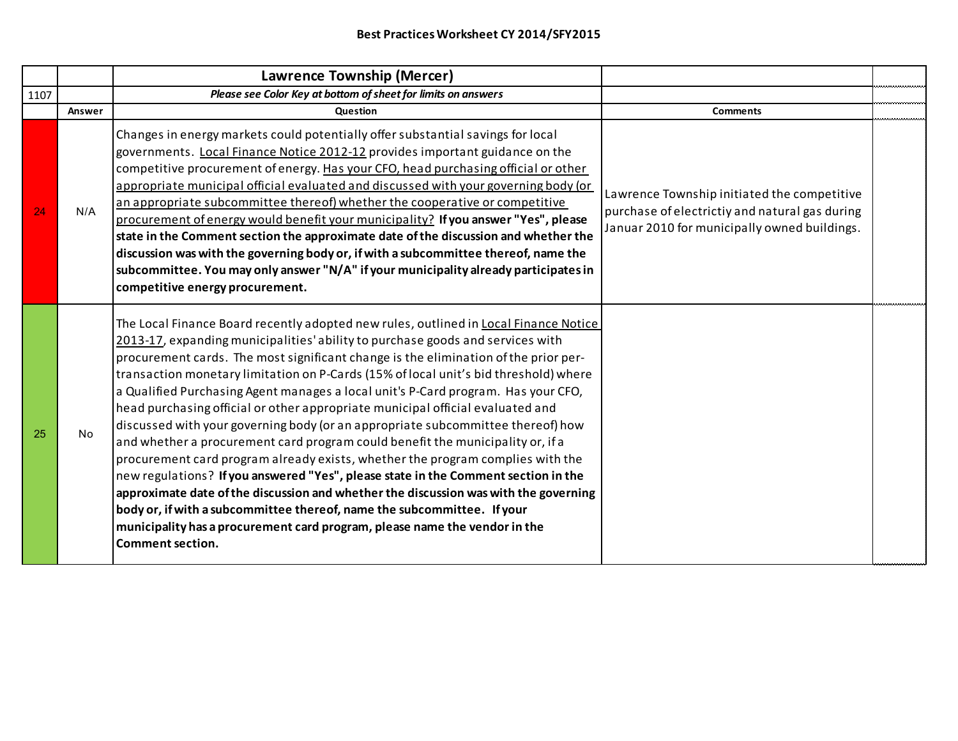|      |        | Lawrence Township (Mercer)                                                                                                                                                                                                                                                                                                                                                                                                                                                                                                                                                                                                                                                                                                                                                                                                                                                                                                                                                                                                                                                                                                                            |                                                                                                                                               |  |
|------|--------|-------------------------------------------------------------------------------------------------------------------------------------------------------------------------------------------------------------------------------------------------------------------------------------------------------------------------------------------------------------------------------------------------------------------------------------------------------------------------------------------------------------------------------------------------------------------------------------------------------------------------------------------------------------------------------------------------------------------------------------------------------------------------------------------------------------------------------------------------------------------------------------------------------------------------------------------------------------------------------------------------------------------------------------------------------------------------------------------------------------------------------------------------------|-----------------------------------------------------------------------------------------------------------------------------------------------|--|
| 1107 |        | Please see Color Key at bottom of sheet for limits on answers                                                                                                                                                                                                                                                                                                                                                                                                                                                                                                                                                                                                                                                                                                                                                                                                                                                                                                                                                                                                                                                                                         |                                                                                                                                               |  |
|      | Answer | <b>Question</b>                                                                                                                                                                                                                                                                                                                                                                                                                                                                                                                                                                                                                                                                                                                                                                                                                                                                                                                                                                                                                                                                                                                                       | <b>Comments</b>                                                                                                                               |  |
| 24   | N/A    | Changes in energy markets could potentially offer substantial savings for local<br>governments. Local Finance Notice 2012-12 provides important guidance on the<br>competitive procurement of energy. Has your CFO, head purchasing official or other<br>appropriate municipal official evaluated and discussed with your governing body (or<br>an appropriate subcommittee thereof) whether the cooperative or competitive<br>procurement of energy would benefit your municipality? If you answer "Yes", please<br>state in the Comment section the approximate date of the discussion and whether the<br>discussion was with the governing body or, if with a subcommittee thereof, name the<br>subcommittee. You may only answer "N/A" if your municipality already participates in<br>competitive energy procurement.                                                                                                                                                                                                                                                                                                                            | Lawrence Township initiated the competitive<br>purchase of electrictiy and natural gas during<br>Januar 2010 for municipally owned buildings. |  |
| 25   | No     | The Local Finance Board recently adopted new rules, outlined in Local Finance Notice<br>2013-17, expanding municipalities' ability to purchase goods and services with<br>procurement cards. The most significant change is the elimination of the prior per-<br>transaction monetary limitation on P-Cards (15% of local unit's bid threshold) where<br>a Qualified Purchasing Agent manages a local unit's P-Card program. Has your CFO,<br>head purchasing official or other appropriate municipal official evaluated and<br>discussed with your governing body (or an appropriate subcommittee thereof) how<br>and whether a procurement card program could benefit the municipality or, if a<br>procurement card program already exists, whether the program complies with the<br>new regulations? If you answered "Yes", please state in the Comment section in the<br>approximate date of the discussion and whether the discussion was with the governing<br>body or, if with a subcommittee thereof, name the subcommittee. If your<br>municipality has a procurement card program, please name the vendor in the<br><b>Comment section.</b> |                                                                                                                                               |  |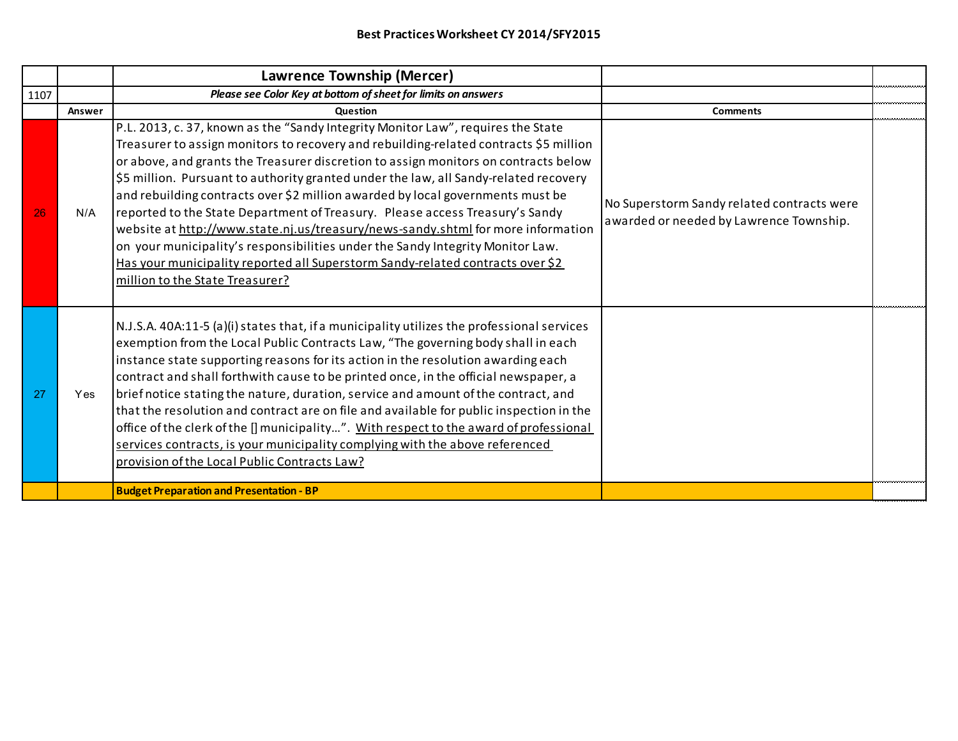|      |            | Lawrence Township (Mercer)                                                                                                                                                                                                                                                                                                                                                                                                                                                                                                                                                                                                                                                                                                                                                                                            |                                                                                       |  |
|------|------------|-----------------------------------------------------------------------------------------------------------------------------------------------------------------------------------------------------------------------------------------------------------------------------------------------------------------------------------------------------------------------------------------------------------------------------------------------------------------------------------------------------------------------------------------------------------------------------------------------------------------------------------------------------------------------------------------------------------------------------------------------------------------------------------------------------------------------|---------------------------------------------------------------------------------------|--|
| 1107 |            | Please see Color Key at bottom of sheet for limits on answers                                                                                                                                                                                                                                                                                                                                                                                                                                                                                                                                                                                                                                                                                                                                                         |                                                                                       |  |
|      | Answer     | <b>Ouestion</b>                                                                                                                                                                                                                                                                                                                                                                                                                                                                                                                                                                                                                                                                                                                                                                                                       | <b>Comments</b>                                                                       |  |
| 26   | N/A        | P.L. 2013, c. 37, known as the "Sandy Integrity Monitor Law", requires the State<br>Treasurer to assign monitors to recovery and rebuilding-related contracts \$5 million<br>or above, and grants the Treasurer discretion to assign monitors on contracts below<br>\$5 million. Pursuant to authority granted under the law, all Sandy-related recovery<br>and rebuilding contracts over \$2 million awarded by local governments must be<br>reported to the State Department of Treasury. Please access Treasury's Sandy<br>website at http://www.state.nj.us/treasury/news-sandy.shtml for more information<br>on your municipality's responsibilities under the Sandy Integrity Monitor Law.<br>Has your municipality reported all Superstorm Sandy-related contracts over \$2<br>million to the State Treasurer? | No Superstorm Sandy related contracts were<br>awarded or needed by Lawrence Township. |  |
| 27   | <b>Yes</b> | N.J.S.A. 40A:11-5 (a)(i) states that, if a municipality utilizes the professional services<br>exemption from the Local Public Contracts Law, "The governing body shall in each<br>instance state supporting reasons for its action in the resolution awarding each<br>contract and shall forthwith cause to be printed once, in the official newspaper, a<br>brief notice stating the nature, duration, service and amount of the contract, and<br>that the resolution and contract are on file and available for public inspection in the<br>office of the clerk of the [] municipality". With respect to the award of professional<br>services contracts, is your municipality complying with the above referenced<br>provision of the Local Public Contracts Law?                                                  |                                                                                       |  |
|      |            | <b>Budget Preparation and Presentation - BP</b>                                                                                                                                                                                                                                                                                                                                                                                                                                                                                                                                                                                                                                                                                                                                                                       |                                                                                       |  |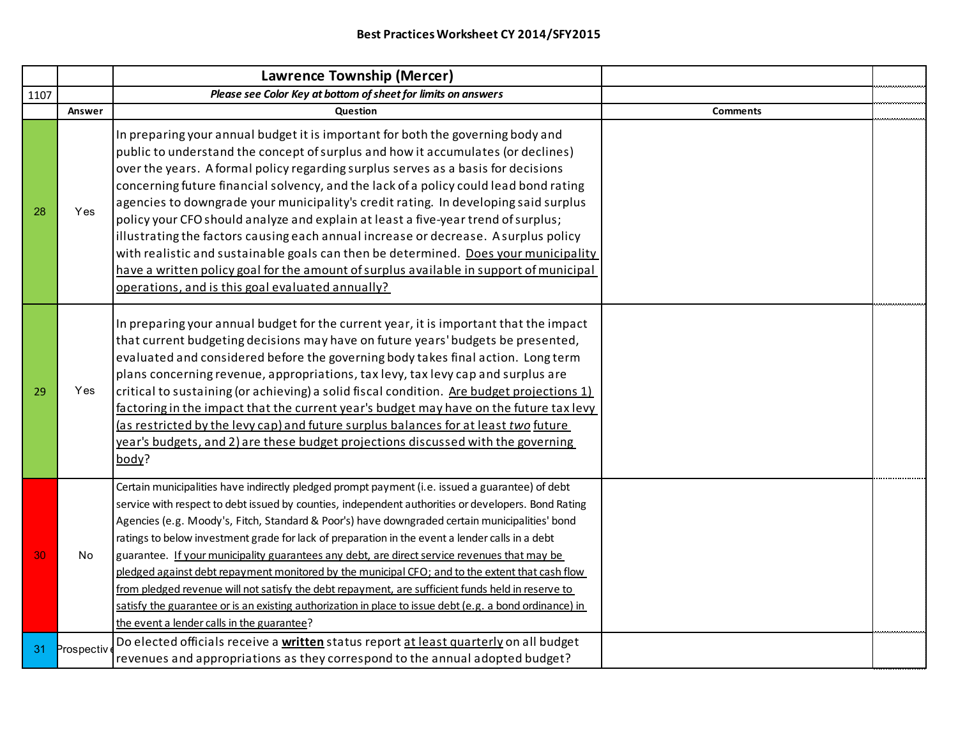|      |            | Lawrence Township (Mercer)                                                                                                                                                                                                                                                                                                                                                                                                                                                                                                                                                                                                                                                                                                                                                                                                                                                   |                 |  |
|------|------------|------------------------------------------------------------------------------------------------------------------------------------------------------------------------------------------------------------------------------------------------------------------------------------------------------------------------------------------------------------------------------------------------------------------------------------------------------------------------------------------------------------------------------------------------------------------------------------------------------------------------------------------------------------------------------------------------------------------------------------------------------------------------------------------------------------------------------------------------------------------------------|-----------------|--|
| 1107 |            | Please see Color Key at bottom of sheet for limits on answers                                                                                                                                                                                                                                                                                                                                                                                                                                                                                                                                                                                                                                                                                                                                                                                                                |                 |  |
|      | Answer     | Question                                                                                                                                                                                                                                                                                                                                                                                                                                                                                                                                                                                                                                                                                                                                                                                                                                                                     | <b>Comments</b> |  |
| 28   | Yes        | In preparing your annual budget it is important for both the governing body and<br>public to understand the concept of surplus and how it accumulates (or declines)<br>over the years. A formal policy regarding surplus serves as a basis for decisions<br>concerning future financial solvency, and the lack of a policy could lead bond rating<br>agencies to downgrade your municipality's credit rating. In developing said surplus<br>policy your CFO should analyze and explain at least a five-year trend of surplus;<br>illustrating the factors causing each annual increase or decrease. A surplus policy<br>with realistic and sustainable goals can then be determined. Does your municipality<br>have a written policy goal for the amount of surplus available in support of municipal<br>operations, and is this goal evaluated annually?                    |                 |  |
| 29   | Yes        | In preparing your annual budget for the current year, it is important that the impact<br>that current budgeting decisions may have on future years' budgets be presented,<br>evaluated and considered before the governing body takes final action. Long term<br>plans concerning revenue, appropriations, tax levy, tax levy cap and surplus are<br>critical to sustaining (or achieving) a solid fiscal condition. Are budget projections 1)<br>factoring in the impact that the current year's budget may have on the future tax levy<br>(as restricted by the levy cap) and future surplus balances for at least two future<br>year's budgets, and 2) are these budget projections discussed with the governing<br>body?                                                                                                                                                 |                 |  |
| 30   | No.        | Certain municipalities have indirectly pledged prompt payment (i.e. issued a guarantee) of debt<br>service with respect to debt issued by counties, independent authorities or developers. Bond Rating<br>Agencies (e.g. Moody's, Fitch, Standard & Poor's) have downgraded certain municipalities' bond<br>ratings to below investment grade for lack of preparation in the event a lender calls in a debt<br>guarantee. If your municipality guarantees any debt, are direct service revenues that may be<br>pledged against debt repayment monitored by the municipal CFO; and to the extent that cash flow<br>from pledged revenue will not satisfy the debt repayment, are sufficient funds held in reserve to<br>satisfy the guarantee or is an existing authorization in place to issue debt (e.g. a bond ordinance) in<br>the event a lender calls in the guarantee? |                 |  |
| 31   | Prospectiv | Do elected officials receive a written status report at least quarterly on all budget<br>revenues and appropriations as they correspond to the annual adopted budget?                                                                                                                                                                                                                                                                                                                                                                                                                                                                                                                                                                                                                                                                                                        |                 |  |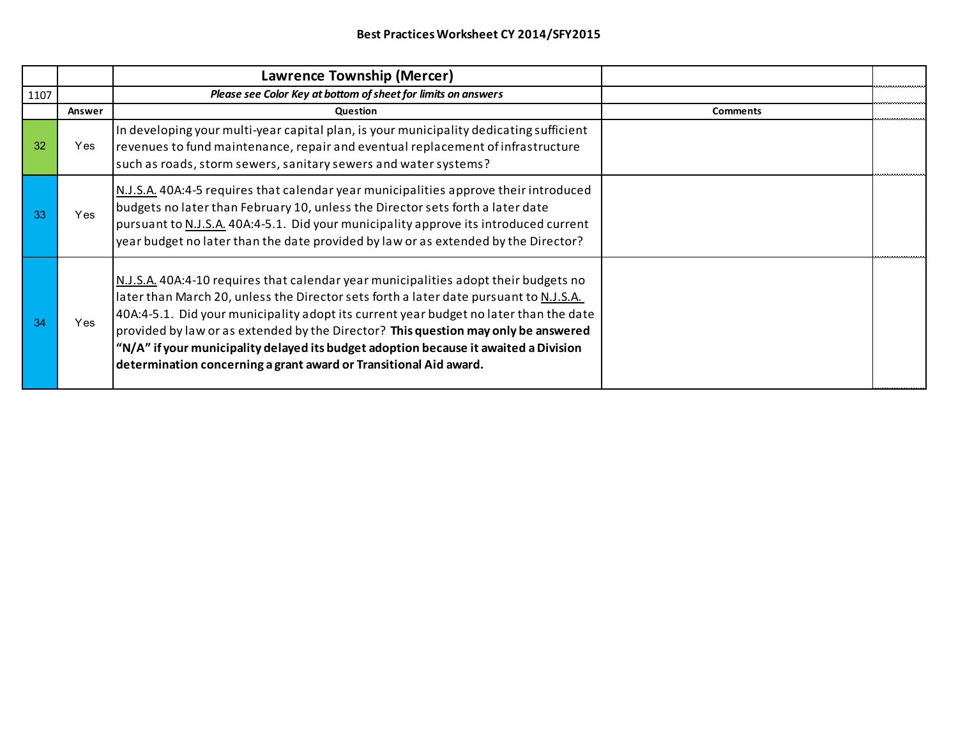|      |        | Lawrence Township (Mercer)                                                                                                                                                                                                                                                                                                                                                                                                                                                                                               |                 |  |
|------|--------|--------------------------------------------------------------------------------------------------------------------------------------------------------------------------------------------------------------------------------------------------------------------------------------------------------------------------------------------------------------------------------------------------------------------------------------------------------------------------------------------------------------------------|-----------------|--|
| 1107 |        | Please see Color Key at bottom of sheet for limits on answers                                                                                                                                                                                                                                                                                                                                                                                                                                                            |                 |  |
|      | Answer | <b>Question</b>                                                                                                                                                                                                                                                                                                                                                                                                                                                                                                          | <b>Comments</b> |  |
| 32   | Yes    | In developing your multi-year capital plan, is your municipality dedicating sufficient<br>revenues to fund maintenance, repair and eventual replacement of infrastructure<br>such as roads, storm sewers, sanitary sewers and water systems?                                                                                                                                                                                                                                                                             |                 |  |
| -33  | Yes.   | N.J.S.A. 40A:4-5 requires that calendar year municipalities approve their introduced<br>budgets no later than February 10, unless the Director sets forth a later date<br>pursuant to N.J.S.A. 40A:4-5.1. Did your municipality approve its introduced current<br>year budget no later than the date provided by law or as extended by the Director?                                                                                                                                                                     |                 |  |
| -34  | Yes    | N.J.S.A. 40A:4-10 requires that calendar year municipalities adopt their budgets no<br>later than March 20, unless the Director sets forth a later date pursuant to N.J.S.A.<br>40A:4-5.1. Did your municipality adopt its current year budget no later than the date<br>provided by law or as extended by the Director? This question may only be answered<br>"N/A" if your municipality delayed its budget adoption because it awaited a Division<br>determination concerning a grant award or Transitional Aid award. |                 |  |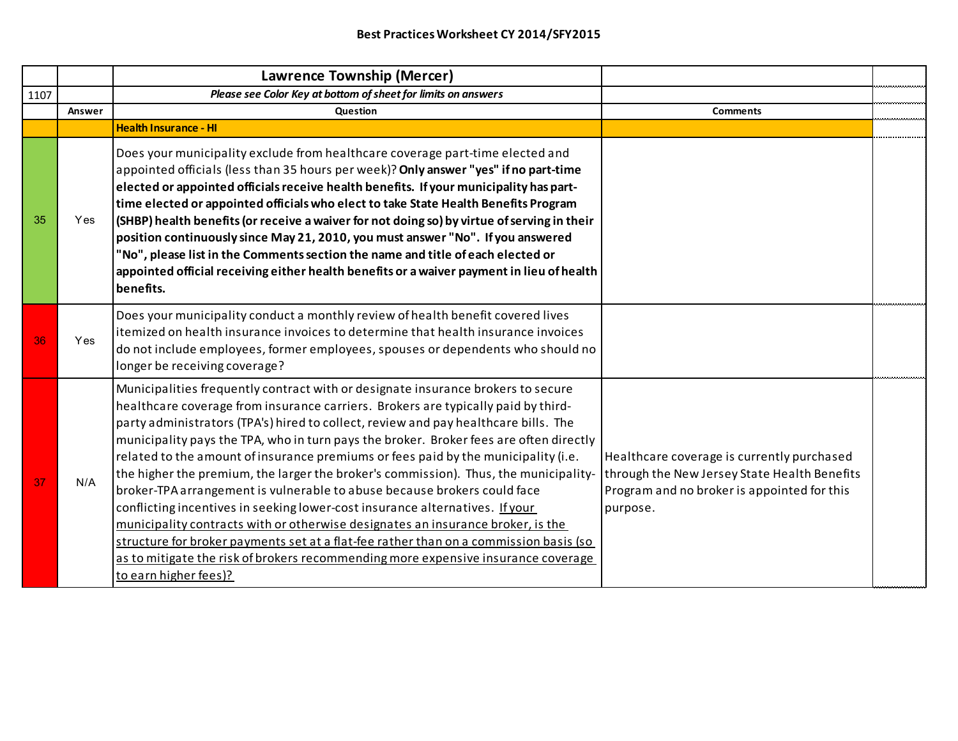|      |            | <b>Lawrence Township (Mercer)</b>                                                                                                                                                                                                                                                                                                                                                                                                                                                                                                                                                                                                                                                                                                                                                                                                                                                                                                                                                          |                                                                                                                                                       |  |
|------|------------|--------------------------------------------------------------------------------------------------------------------------------------------------------------------------------------------------------------------------------------------------------------------------------------------------------------------------------------------------------------------------------------------------------------------------------------------------------------------------------------------------------------------------------------------------------------------------------------------------------------------------------------------------------------------------------------------------------------------------------------------------------------------------------------------------------------------------------------------------------------------------------------------------------------------------------------------------------------------------------------------|-------------------------------------------------------------------------------------------------------------------------------------------------------|--|
| 1107 |            | Please see Color Key at bottom of sheet for limits on answers                                                                                                                                                                                                                                                                                                                                                                                                                                                                                                                                                                                                                                                                                                                                                                                                                                                                                                                              |                                                                                                                                                       |  |
|      | Answer     | Question                                                                                                                                                                                                                                                                                                                                                                                                                                                                                                                                                                                                                                                                                                                                                                                                                                                                                                                                                                                   | <b>Comments</b>                                                                                                                                       |  |
|      |            | <b>Health Insurance - HI</b>                                                                                                                                                                                                                                                                                                                                                                                                                                                                                                                                                                                                                                                                                                                                                                                                                                                                                                                                                               |                                                                                                                                                       |  |
| 35   | Yes        | Does your municipality exclude from healthcare coverage part-time elected and<br>appointed officials (less than 35 hours per week)? Only answer "yes" if no part-time<br>elected or appointed officials receive health benefits. If your municipality has part-<br>time elected or appointed officials who elect to take State Health Benefits Program<br>(SHBP) health benefits (or receive a waiver for not doing so) by virtue of serving in their<br>position continuously since May 21, 2010, you must answer "No". If you answered<br>"No", please list in the Comments section the name and title of each elected or<br>appointed official receiving either health benefits or a waiver payment in lieu of health<br>benefits.                                                                                                                                                                                                                                                      |                                                                                                                                                       |  |
| 36   | <b>Yes</b> | Does your municipality conduct a monthly review of health benefit covered lives<br>itemized on health insurance invoices to determine that health insurance invoices<br>do not include employees, former employees, spouses or dependents who should no<br>longer be receiving coverage?                                                                                                                                                                                                                                                                                                                                                                                                                                                                                                                                                                                                                                                                                                   |                                                                                                                                                       |  |
| 37   | N/A        | Municipalities frequently contract with or designate insurance brokers to secure<br>healthcare coverage from insurance carriers. Brokers are typically paid by third-<br>party administrators (TPA's) hired to collect, review and pay healthcare bills. The<br>municipality pays the TPA, who in turn pays the broker. Broker fees are often directly<br>related to the amount of insurance premiums or fees paid by the municipality (i.e.<br>the higher the premium, the larger the broker's commission). Thus, the municipality-<br>broker-TPA arrangement is vulnerable to abuse because brokers could face<br>conflicting incentives in seeking lower-cost insurance alternatives. If your<br>municipality contracts with or otherwise designates an insurance broker, is the<br>structure for broker payments set at a flat-fee rather than on a commission basis (so<br>as to mitigate the risk of brokers recommending more expensive insurance coverage<br>to earn higher fees)? | Healthcare coverage is currently purchased<br>through the New Jersey State Health Benefits<br>Program and no broker is appointed for this<br>purpose. |  |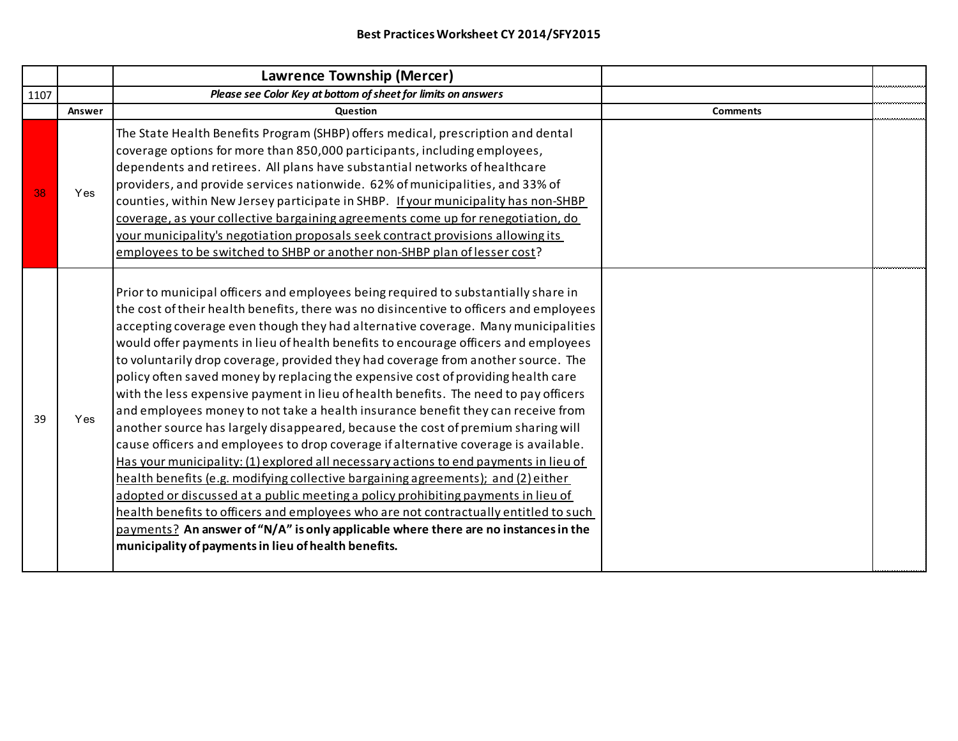|      |        | Lawrence Township (Mercer)                                                                                                                                                                                                                                                                                                                                                                                                                                                                                                                                                                                                                                                                                                                                                                                                                                                                                                                                                                                                                                                                                                                                                                                                                                                                                                                                                                           |                 |  |
|------|--------|------------------------------------------------------------------------------------------------------------------------------------------------------------------------------------------------------------------------------------------------------------------------------------------------------------------------------------------------------------------------------------------------------------------------------------------------------------------------------------------------------------------------------------------------------------------------------------------------------------------------------------------------------------------------------------------------------------------------------------------------------------------------------------------------------------------------------------------------------------------------------------------------------------------------------------------------------------------------------------------------------------------------------------------------------------------------------------------------------------------------------------------------------------------------------------------------------------------------------------------------------------------------------------------------------------------------------------------------------------------------------------------------------|-----------------|--|
| 1107 |        | Please see Color Key at bottom of sheet for limits on answers                                                                                                                                                                                                                                                                                                                                                                                                                                                                                                                                                                                                                                                                                                                                                                                                                                                                                                                                                                                                                                                                                                                                                                                                                                                                                                                                        |                 |  |
|      | Answer | <b>Question</b>                                                                                                                                                                                                                                                                                                                                                                                                                                                                                                                                                                                                                                                                                                                                                                                                                                                                                                                                                                                                                                                                                                                                                                                                                                                                                                                                                                                      | <b>Comments</b> |  |
| 38   | Yes    | The State Health Benefits Program (SHBP) offers medical, prescription and dental<br>coverage options for more than 850,000 participants, including employees,<br>dependents and retirees. All plans have substantial networks of healthcare<br>providers, and provide services nationwide. 62% of municipalities, and 33% of<br>counties, within New Jersey participate in SHBP. If your municipality has non-SHBP<br>coverage, as your collective bargaining agreements come up for renegotiation, do<br>your municipality's negotiation proposals seek contract provisions allowing its<br>employees to be switched to SHBP or another non-SHBP plan of lesser cost?                                                                                                                                                                                                                                                                                                                                                                                                                                                                                                                                                                                                                                                                                                                               |                 |  |
| 39   | Yes    | Prior to municipal officers and employees being required to substantially share in<br>the cost of their health benefits, there was no disincentive to officers and employees<br>accepting coverage even though they had alternative coverage. Many municipalities<br>would offer payments in lieu of health benefits to encourage officers and employees<br>to voluntarily drop coverage, provided they had coverage from another source. The<br>policy often saved money by replacing the expensive cost of providing health care<br>with the less expensive payment in lieu of health benefits. The need to pay officers<br>and employees money to not take a health insurance benefit they can receive from<br>another source has largely disappeared, because the cost of premium sharing will<br>cause officers and employees to drop coverage if alternative coverage is available.<br>Has your municipality: (1) explored all necessary actions to end payments in lieu of<br>health benefits (e.g. modifying collective bargaining agreements); and (2) either<br>adopted or discussed at a public meeting a policy prohibiting payments in lieu of<br>health benefits to officers and employees who are not contractually entitled to such<br>$payments?$ An answer of "N/A" is only applicable where there are no instances in the<br>municipality of payments in lieu of health benefits. |                 |  |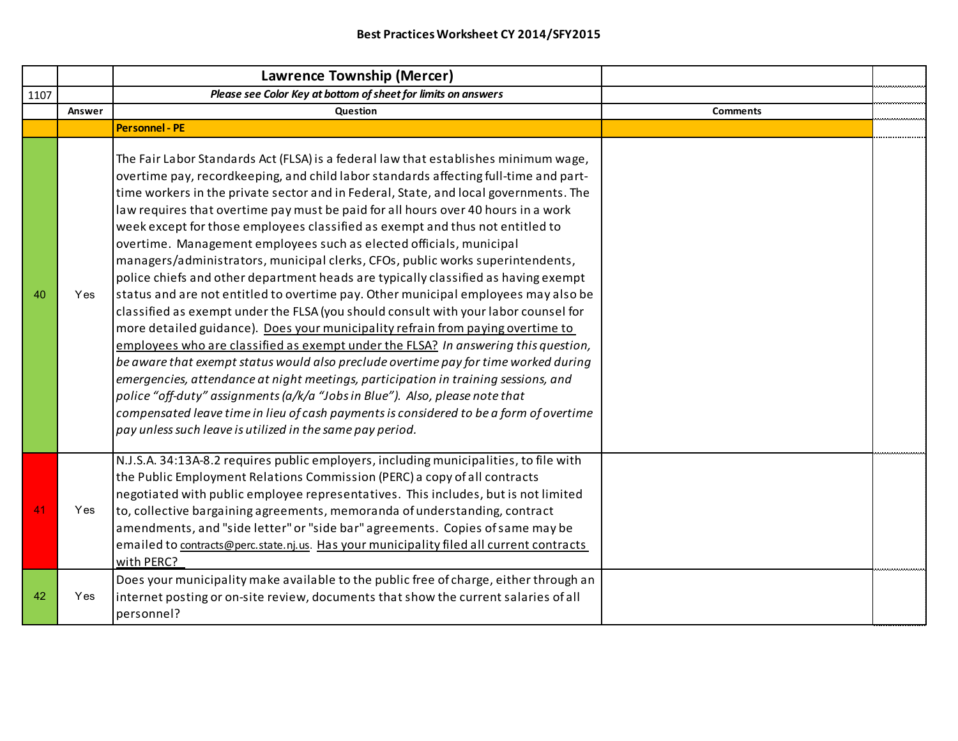|      |        | <b>Lawrence Township (Mercer)</b>                                                                                                                                                                                                                                                                                                                                                                                                                                                                                                                                                                                                                                                                                                                                                                                                                                                                                                                                                                                                                                                                                                                                                                                                                                                                                                                                                                                                                                  |                 |  |
|------|--------|--------------------------------------------------------------------------------------------------------------------------------------------------------------------------------------------------------------------------------------------------------------------------------------------------------------------------------------------------------------------------------------------------------------------------------------------------------------------------------------------------------------------------------------------------------------------------------------------------------------------------------------------------------------------------------------------------------------------------------------------------------------------------------------------------------------------------------------------------------------------------------------------------------------------------------------------------------------------------------------------------------------------------------------------------------------------------------------------------------------------------------------------------------------------------------------------------------------------------------------------------------------------------------------------------------------------------------------------------------------------------------------------------------------------------------------------------------------------|-----------------|--|
| 1107 |        | Please see Color Key at bottom of sheet for limits on answers                                                                                                                                                                                                                                                                                                                                                                                                                                                                                                                                                                                                                                                                                                                                                                                                                                                                                                                                                                                                                                                                                                                                                                                                                                                                                                                                                                                                      |                 |  |
|      | Answer | <b>Question</b>                                                                                                                                                                                                                                                                                                                                                                                                                                                                                                                                                                                                                                                                                                                                                                                                                                                                                                                                                                                                                                                                                                                                                                                                                                                                                                                                                                                                                                                    | <b>Comments</b> |  |
|      |        | <b>Personnel - PE</b>                                                                                                                                                                                                                                                                                                                                                                                                                                                                                                                                                                                                                                                                                                                                                                                                                                                                                                                                                                                                                                                                                                                                                                                                                                                                                                                                                                                                                                              |                 |  |
| 40   | Yes    | The Fair Labor Standards Act (FLSA) is a federal law that establishes minimum wage,<br>overtime pay, recordkeeping, and child labor standards affecting full-time and part-<br>time workers in the private sector and in Federal, State, and local governments. The<br>law requires that overtime pay must be paid for all hours over 40 hours in a work<br>week except for those employees classified as exempt and thus not entitled to<br>overtime. Management employees such as elected officials, municipal<br>managers/administrators, municipal clerks, CFOs, public works superintendents,<br>police chiefs and other department heads are typically classified as having exempt<br>status and are not entitled to overtime pay. Other municipal employees may also be<br>classified as exempt under the FLSA (you should consult with your labor counsel for<br>more detailed guidance). Does your municipality refrain from paying overtime to<br>employees who are classified as exempt under the FLSA? In answering this question,<br>be aware that exempt status would also preclude overtime pay for time worked during<br>emergencies, attendance at night meetings, participation in training sessions, and<br>police "off-duty" assignments (a/k/a "Jobs in Blue"). Also, please note that<br>compensated leave time in lieu of cash payments is considered to be a form of overtime<br>pay unless such leave is utilized in the same pay period. |                 |  |
| 41   | Yes    | N.J.S.A. 34:13A-8.2 requires public employers, including municipalities, to file with<br>the Public Employment Relations Commission (PERC) a copy of all contracts<br>negotiated with public employee representatives. This includes, but is not limited<br>to, collective bargaining agreements, memoranda of understanding, contract<br>amendments, and "side letter" or "side bar" agreements. Copies of same may be<br>emailed to contracts@perc.state.nj.us. Has your municipality filed all current contracts<br>with PERC?                                                                                                                                                                                                                                                                                                                                                                                                                                                                                                                                                                                                                                                                                                                                                                                                                                                                                                                                  |                 |  |
| 42   | Yes    | Does your municipality make available to the public free of charge, either through an<br>internet posting or on-site review, documents that show the current salaries of all<br>personnel?                                                                                                                                                                                                                                                                                                                                                                                                                                                                                                                                                                                                                                                                                                                                                                                                                                                                                                                                                                                                                                                                                                                                                                                                                                                                         |                 |  |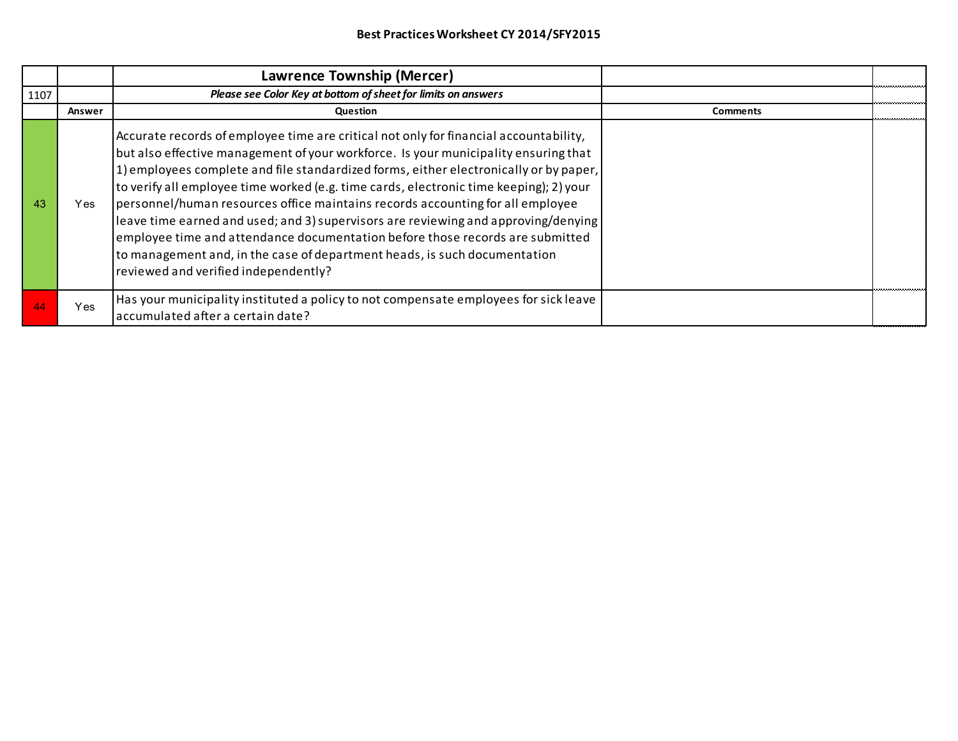|      |        | Lawrence Township (Mercer)                                                                                                                                                                                                                                                                                                                                                                                                                                                                                                                                                                                                                                                                                                                    |                 |  |
|------|--------|-----------------------------------------------------------------------------------------------------------------------------------------------------------------------------------------------------------------------------------------------------------------------------------------------------------------------------------------------------------------------------------------------------------------------------------------------------------------------------------------------------------------------------------------------------------------------------------------------------------------------------------------------------------------------------------------------------------------------------------------------|-----------------|--|
| 1107 |        | Please see Color Key at bottom of sheet for limits on answers                                                                                                                                                                                                                                                                                                                                                                                                                                                                                                                                                                                                                                                                                 |                 |  |
|      | Answer | Question                                                                                                                                                                                                                                                                                                                                                                                                                                                                                                                                                                                                                                                                                                                                      | <b>Comments</b> |  |
| 43   | Yes    | Accurate records of employee time are critical not only for financial accountability,<br>but also effective management of your workforce. Is your municipality ensuring that<br>1) employees complete and file standardized forms, either electronically or by paper,<br>to verify all employee time worked (e.g. time cards, electronic time keeping); 2) your<br>personnel/human resources office maintains records accounting for all employee<br>leave time earned and used; and 3) supervisors are reviewing and approving/denying<br>employee time and attendance documentation before those records are submitted<br>to management and, in the case of department heads, is such documentation<br>reviewed and verified independently? |                 |  |
|      | Yes    | Has your municipality instituted a policy to not compensate employees for sick leave<br>accumulated after a certain date?                                                                                                                                                                                                                                                                                                                                                                                                                                                                                                                                                                                                                     |                 |  |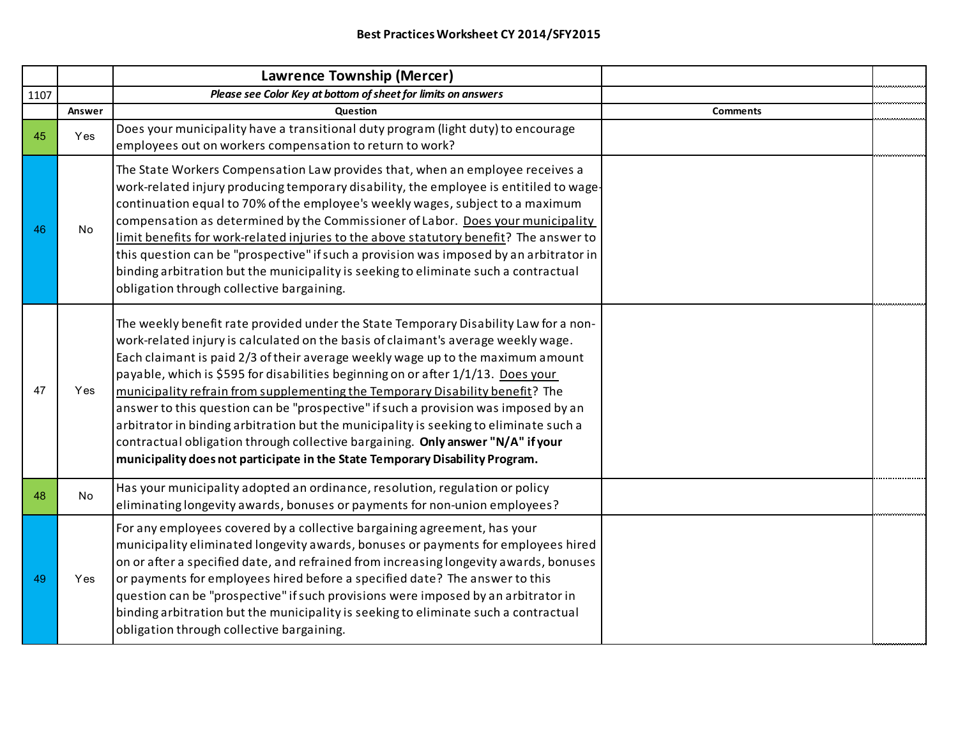|      |            | Lawrence Township (Mercer)                                                                                                                                                                                                                                                                                                                                                                                                                                                                                                                                                                                                                                                                                                                                                          |                 |  |
|------|------------|-------------------------------------------------------------------------------------------------------------------------------------------------------------------------------------------------------------------------------------------------------------------------------------------------------------------------------------------------------------------------------------------------------------------------------------------------------------------------------------------------------------------------------------------------------------------------------------------------------------------------------------------------------------------------------------------------------------------------------------------------------------------------------------|-----------------|--|
| 1107 |            | Please see Color Key at bottom of sheet for limits on answers                                                                                                                                                                                                                                                                                                                                                                                                                                                                                                                                                                                                                                                                                                                       |                 |  |
|      | Answer     | Question                                                                                                                                                                                                                                                                                                                                                                                                                                                                                                                                                                                                                                                                                                                                                                            | <b>Comments</b> |  |
| 45   | Yes        | Does your municipality have a transitional duty program (light duty) to encourage<br>employees out on workers compensation to return to work?                                                                                                                                                                                                                                                                                                                                                                                                                                                                                                                                                                                                                                       |                 |  |
| 46   | No         | The State Workers Compensation Law provides that, when an employee receives a<br>work-related injury producing temporary disability, the employee is entitiled to wage-<br>continuation equal to 70% of the employee's weekly wages, subject to a maximum<br>compensation as determined by the Commissioner of Labor. Does your municipality<br>limit benefits for work-related injuries to the above statutory benefit? The answer to<br>this question can be "prospective" if such a provision was imposed by an arbitrator in<br>binding arbitration but the municipality is seeking to eliminate such a contractual<br>obligation through collective bargaining.                                                                                                                |                 |  |
| 47   | <b>Yes</b> | The weekly benefit rate provided under the State Temporary Disability Law for a non-<br>work-related injury is calculated on the basis of claimant's average weekly wage.<br>Each claimant is paid 2/3 of their average weekly wage up to the maximum amount<br>payable, which is \$595 for disabilities beginning on or after 1/1/13. Does your<br>municipality refrain from supplementing the Temporary Disability benefit? The<br>answer to this question can be "prospective" if such a provision was imposed by an<br>arbitrator in binding arbitration but the municipality is seeking to eliminate such a<br>contractual obligation through collective bargaining. Only answer "N/A" if your<br>municipality does not participate in the State Temporary Disability Program. |                 |  |
| 48   | No         | Has your municipality adopted an ordinance, resolution, regulation or policy<br>eliminating longevity awards, bonuses or payments for non-union employees?                                                                                                                                                                                                                                                                                                                                                                                                                                                                                                                                                                                                                          |                 |  |
| 49   | Yes        | For any employees covered by a collective bargaining agreement, has your<br>municipality eliminated longevity awards, bonuses or payments for employees hired<br>on or after a specified date, and refrained from increasing longevity awards, bonuses<br>or payments for employees hired before a specified date? The answer to this<br>question can be "prospective" if such provisions were imposed by an arbitrator in<br>binding arbitration but the municipality is seeking to eliminate such a contractual<br>obligation through collective bargaining.                                                                                                                                                                                                                      |                 |  |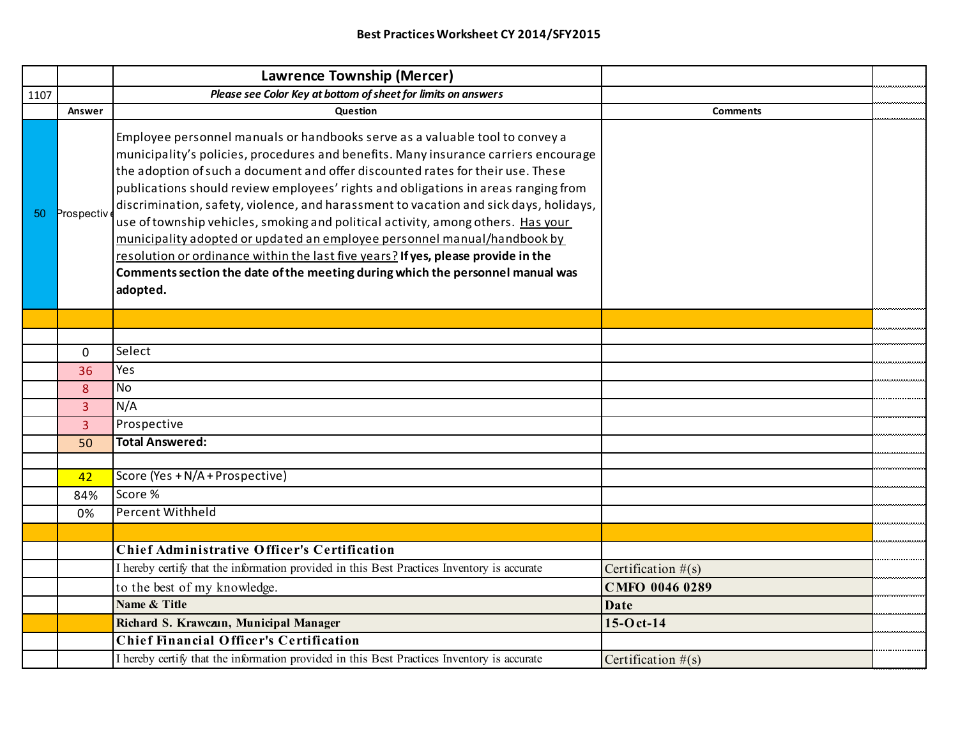|      |                | Lawrence Township (Mercer)                                                                                                                                                                                                                                                                                                                                                                                                                                                                                                                                                                                                                                                                                                                                                               |                      |  |
|------|----------------|------------------------------------------------------------------------------------------------------------------------------------------------------------------------------------------------------------------------------------------------------------------------------------------------------------------------------------------------------------------------------------------------------------------------------------------------------------------------------------------------------------------------------------------------------------------------------------------------------------------------------------------------------------------------------------------------------------------------------------------------------------------------------------------|----------------------|--|
| 1107 |                | Please see Color Key at bottom of sheet for limits on answers                                                                                                                                                                                                                                                                                                                                                                                                                                                                                                                                                                                                                                                                                                                            |                      |  |
|      | Answer         | Question                                                                                                                                                                                                                                                                                                                                                                                                                                                                                                                                                                                                                                                                                                                                                                                 | <b>Comments</b>      |  |
| 50   | Prospectiv     | Employee personnel manuals or handbooks serve as a valuable tool to convey a<br>municipality's policies, procedures and benefits. Many insurance carriers encourage<br>the adoption of such a document and offer discounted rates for their use. These<br>publications should review employees' rights and obligations in areas ranging from<br>discrimination, safety, violence, and harassment to vacation and sick days, holidays,<br>use of township vehicles, smoking and political activity, among others. Has your<br>municipality adopted or updated an employee personnel manual/handbook by<br>resolution or ordinance within the last five years? If yes, please provide in the<br>Comments section the date of the meeting during which the personnel manual was<br>adopted. |                      |  |
|      |                |                                                                                                                                                                                                                                                                                                                                                                                                                                                                                                                                                                                                                                                                                                                                                                                          |                      |  |
|      |                |                                                                                                                                                                                                                                                                                                                                                                                                                                                                                                                                                                                                                                                                                                                                                                                          |                      |  |
|      | $\Omega$       | Select                                                                                                                                                                                                                                                                                                                                                                                                                                                                                                                                                                                                                                                                                                                                                                                   |                      |  |
|      | 36             | Yes                                                                                                                                                                                                                                                                                                                                                                                                                                                                                                                                                                                                                                                                                                                                                                                      |                      |  |
|      | 8              | <b>No</b>                                                                                                                                                                                                                                                                                                                                                                                                                                                                                                                                                                                                                                                                                                                                                                                |                      |  |
|      | $\overline{3}$ | N/A                                                                                                                                                                                                                                                                                                                                                                                                                                                                                                                                                                                                                                                                                                                                                                                      |                      |  |
|      | $\overline{3}$ | Prospective                                                                                                                                                                                                                                                                                                                                                                                                                                                                                                                                                                                                                                                                                                                                                                              |                      |  |
|      | 50             | <b>Total Answered:</b>                                                                                                                                                                                                                                                                                                                                                                                                                                                                                                                                                                                                                                                                                                                                                                   |                      |  |
|      |                |                                                                                                                                                                                                                                                                                                                                                                                                                                                                                                                                                                                                                                                                                                                                                                                          |                      |  |
|      | 42             | Score (Yes + N/A + Prospective)                                                                                                                                                                                                                                                                                                                                                                                                                                                                                                                                                                                                                                                                                                                                                          |                      |  |
|      | 84%            | Score %                                                                                                                                                                                                                                                                                                                                                                                                                                                                                                                                                                                                                                                                                                                                                                                  |                      |  |
|      | 0%             | <b>Percent Withheld</b>                                                                                                                                                                                                                                                                                                                                                                                                                                                                                                                                                                                                                                                                                                                                                                  |                      |  |
|      |                |                                                                                                                                                                                                                                                                                                                                                                                                                                                                                                                                                                                                                                                                                                                                                                                          |                      |  |
|      |                | <b>Chief Administrative Officer's Certification</b>                                                                                                                                                                                                                                                                                                                                                                                                                                                                                                                                                                                                                                                                                                                                      |                      |  |
|      |                | I hereby certify that the information provided in this Best Practices Inventory is accurate                                                                                                                                                                                                                                                                                                                                                                                                                                                                                                                                                                                                                                                                                              | Certification $#(s)$ |  |
|      |                | to the best of my knowledge.                                                                                                                                                                                                                                                                                                                                                                                                                                                                                                                                                                                                                                                                                                                                                             | CMFO 0046 0289       |  |
|      |                | Name & Title                                                                                                                                                                                                                                                                                                                                                                                                                                                                                                                                                                                                                                                                                                                                                                             | <b>Date</b>          |  |
|      |                | Richard S. Krawczun, Municipal Manager                                                                                                                                                                                                                                                                                                                                                                                                                                                                                                                                                                                                                                                                                                                                                   | $15-0$ ct-14         |  |
|      |                | <b>Chief Financial Officer's Certification</b>                                                                                                                                                                                                                                                                                                                                                                                                                                                                                                                                                                                                                                                                                                                                           |                      |  |
|      |                | I hereby certify that the information provided in this Best Practices Inventory is accurate                                                                                                                                                                                                                                                                                                                                                                                                                                                                                                                                                                                                                                                                                              | Certification $#(s)$ |  |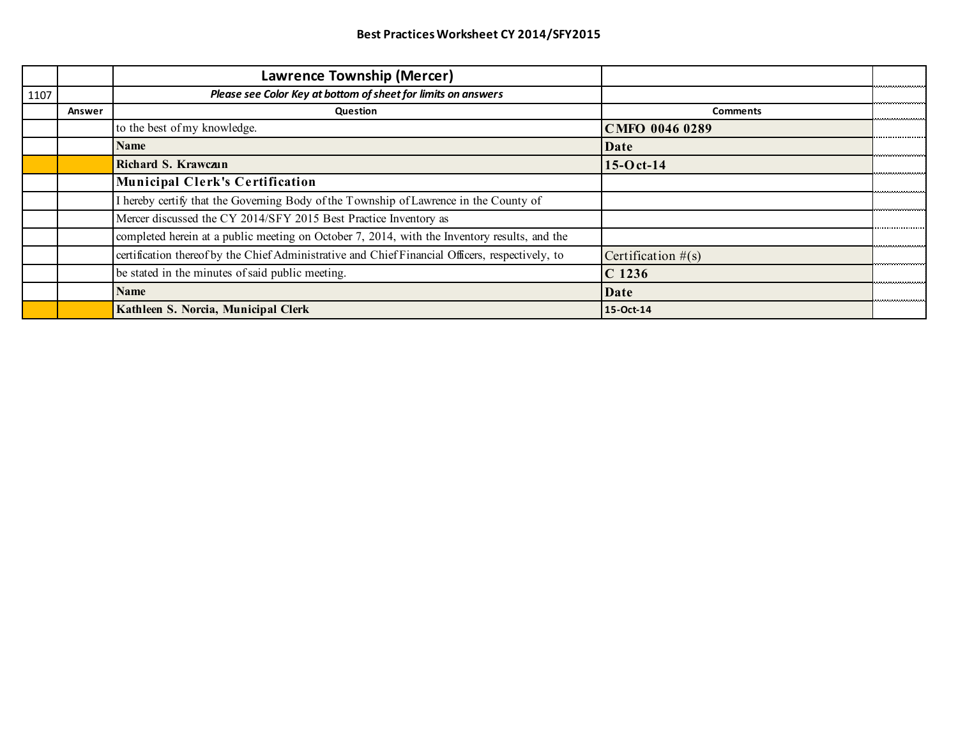|      |        | Lawrence Township (Mercer)                                                                       |                       |  |
|------|--------|--------------------------------------------------------------------------------------------------|-----------------------|--|
| 1107 |        | Please see Color Key at bottom of sheet for limits on answers                                    |                       |  |
|      | Answer | Question                                                                                         | <b>Comments</b>       |  |
|      |        | to the best of my knowledge.                                                                     | CMFO 0046 0289        |  |
|      |        | <b>Name</b>                                                                                      | Date                  |  |
|      |        | Richard S. Krawczun                                                                              | $15-0$ ct-14          |  |
|      |        | <b>Municipal Clerk's Certification</b>                                                           |                       |  |
|      |        | I hereby certify that the Governing Body of the Township of Lawrence in the County of            |                       |  |
|      |        | Mercer discussed the CY 2014/SFY 2015 Best Practice Inventory as                                 |                       |  |
|      |        | completed herein at a public meeting on October 7, 2014, with the Inventory results, and the     |                       |  |
|      |        | certification thereof by the Chief Administrative and Chief Financial Officers, respectively, to | Certification $\#(s)$ |  |
|      |        | be stated in the minutes of said public meeting.                                                 | $C$ 1236              |  |
|      |        | <b>Name</b>                                                                                      | Date                  |  |
|      |        | Kathleen S. Norcia, Municipal Clerk                                                              | 15-Oct-14             |  |